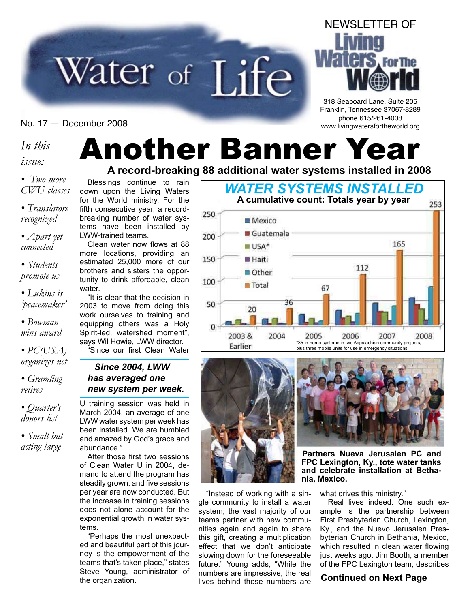# Water of Life



318 Seaboard Lane, Suite 205 Franklin, Tennessee 37067-8289 phone 615/261-4008 Mo. 17 — December 2008 Mo. 17 — December 2008

NEWSLETTER OF

#### *In this*

*issue:*

*• Two more CWU classes*

*• Translators recognized*

*• Apart yet connected*

*• Students promote us*

*• Lukins is 'peacemaker'*

*• Bowman wins award*

*• PC(USA) organizes net*

*• Gramling retires*

*• Quarter's donors list*

*• Small but acting large*

# Another Banner Year

**A record-breaking 88 additional water systems installed in 2008**

Blessings continue to rain down upon the Living Waters for the World ministry. For the fifth consecutive year, a recordbreaking number of water systems have been installed by LWW-trained teams.

Clean water now flows at 88 more locations, providing an estimated 25,000 more of our brothers and sisters the opportunity to drink affordable, clean water.

"It is clear that the decision in 2003 to move from doing this work ourselves to training and equipping others was a Holy Spirit-led, watershed moment", says Wil Howie, LWW director.

"Since our first Clean Water

#### *Since 2004, LWW has averaged one new system per week.*

U training session was held in March 2004, an average of one LWW water system per week has been installed. We are humbled and amazed by God's grace and abundance."

After those first two sessions of Clean Water U in 2004, demand to attend the program has steadily grown, and five sessions per year are now conducted. But the increase in training sessions does not alone account for the exponential growth in water systems.

"Perhaps the most unexpected and beautiful part of this journey is the empowerment of the teams that's taken place," states Steve Young, administrator of the organization.





"Instead of working with a single community to install a water system, the vast majority of our teams partner with new communities again and again to share this gift, creating a multiplication effect that we don't anticipate slowing down for the foreseeable future." Young adds, "While the numbers are impressive, the real lives behind those numbers are

**Partners Nueva Jerusalen PC and FPC Lexington, Ky., tote water tanks and celebrate installation at Bethania, Mexico.**

what drives this ministry."

Real lives indeed. One such example is the partnership between First Presbyterian Church, Lexington, Ky., and the Nuevo Jerusalen Presbyterian Church in Bethania, Mexico, which resulted in clean water flowing just weeks ago. Jim Booth, a member of the FPC Lexington team, describes

#### **Continued on Next Page**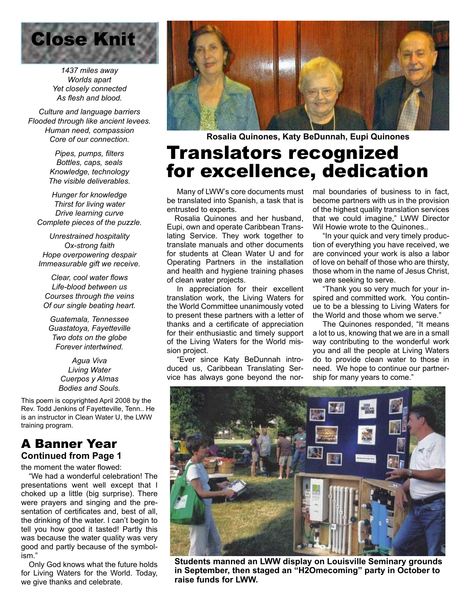

*1437 miles away Worlds apart Yet closely connected As flesh and blood.*

*Culture and language barriers Flooded through like ancient levees. Human need, compassion Core of our connection.*

> *Pipes, pumps, filters Bottles, caps, seals Knowledge, technology The visible deliverables.*

*Hunger for knowledge Thirst for living water Drive learning curve Complete pieces of the puzzle.*

*Unrestrained hospitality Ox-strong faith Hope overpowering despair Immeasurable gift we receive.*

*Clear, cool water flows Life-blood between us Courses through the veins Of our single beating heart.*

*Guatemala, Tennessee Guastatoya, Fayetteville Two dots on the globe Forever intertwined.*

> *Agua Viva Living Water Cuerpos y Almas Bodies and Souls.*

This poem is copyrighted April 2008 by the Rev. Todd Jenkins of Fayetteville, Tenn.. He is an instructor in Clean Water U, the LWW training program.

#### A Banner Year **Continued from Page 1**

the moment the water flowed:

"We had a wonderful celebration! The presentations went well except that I choked up a little (big surprise). There were prayers and singing and the presentation of certificates and, best of all, the drinking of the water. I can't begin to tell you how good it tasted! Partly this was because the water quality was very good and partly because of the symbolism."

Only God knows what the future holds for Living Waters for the World. Today, we give thanks and celebrate.



**Rosalia Quinones, Katy BeDunnah, Eupi Quinones**

# Translators recognized for excellence, dedication

Many of LWW's core documents must be translated into Spanish, a task that is entrusted to experts.

Rosalia Quinones and her husband, Eupi, own and operate Caribbean Translating Service. They work together to translate manuals and other documents for students at Clean Water U and for Operating Partners in the installation and health and hygiene training phases of clean water projects.

In appreciation for their excellent translation work, the Living Waters for the World Committee unanimously voted to present these partners with a letter of thanks and a certificate of appreciation for their enthusiastic and timely support of the Living Waters for the World mission project.

"Ever since Katy BeDunnah introduced us, Caribbean Translating Service has always gone beyond the normal boundaries of business to in fact, become partners with us in the provision of the highest quality translation services that we could imagine," LWW Director Wil Howie wrote to the Quinones..

"In your quick and very timely production of everything you have received, we are convinced your work is also a labor of love on behalf of those who are thirsty, those whom in the name of Jesus Christ, we are seeking to serve.

"Thank you so very much for your inspired and committed work. You continue to be a blessing to Living Waters for the World and those whom we serve."

The Quinones responded, "It means a lot to us, knowing that we are in a small way contributing to the wonderful work you and all the people at Living Waters do to provide clean water to those in need. We hope to continue our partnership for many years to come."



**Students manned an LWW display on Louisville Seminary grounds in September, then staged an "H2Omecoming" party in October to raise funds for LWW.**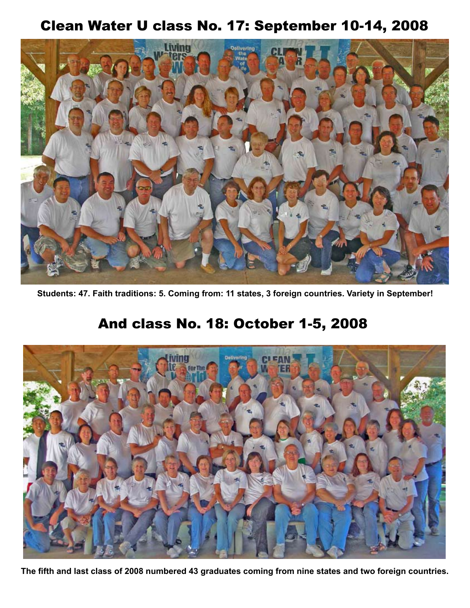



**Students: 47. Faith traditions: 5. Coming from: 11 states, 3 foreign countries. Variety in September!**

# And class No. 18: October 1-5, 2008



**The fifth and last class of 2008 numbered 43 graduates coming from nine states and two foreign countries.**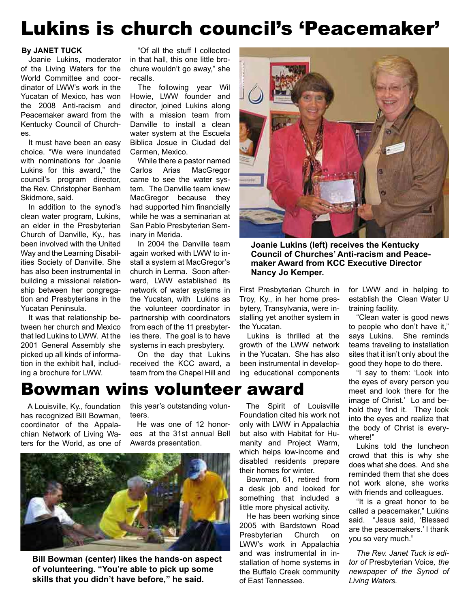# Lukins is church council's 'Peacemaker'

#### **By JANET TUCK**

Joanie Lukins, moderator of the Living Waters for the World Committee and coordinator of LWW's work in the Yucatan of Mexico, has won the 2008 Anti-racism and Peacemaker award from the Kentucky Council of Churches.

It must have been an easy choice. "We were inundated with nominations for Joanie Lukins for this award," the council's program director, the Rev. Christopher Benham Skidmore, said.

In addition to the synod's clean water program, Lukins, an elder in the Presbyterian Church of Danville, Ky., has been involved with the United Way and the Learning Disabilities Society of Danville. She has also been instrumental in building a missional relationship between her congregation and Presbyterians in the Yucatan Peninsula.

It was that relationship between her church and Mexico that led Lukins to LWW. At the 2001 General Assembly she picked up all kinds of information in the exhibit hall, including a brochure for LWW.

"Of all the stuff I collected in that hall, this one little brochure wouldn't go away," she recalls.

The following year Wil Howie, LWW founder and director, joined Lukins along with a mission team from Danville to install a clean water system at the Escuela Biblica Josue in Ciudad del Carmen, Mexico.

While there a pastor named Carlos Arias MacGregor came to see the water system. The Danville team knew MacGregor because they had supported him financially while he was a seminarian at San Pablo Presbyterian Seminary in Merida.

In 2004 the Danville team again worked with LWW to install a system at MacGregor's church in Lerma. Soon afterward, LWW established its network of water systems in the Yucatan, with Lukins as the volunteer coordinator in partnership with coordinators from each of the 11 presbyteries there. The goal is to have systems in each presbytery.

On the day that Lukins received the KCC award, a team from the Chapel Hill and



**Joanie Lukins (left) receives the Kentucky Council of Churches' Anti-racism and Peacemaker Award from KCC Executive Director Nancy Jo Kemper.**

First Presbyterian Church in Troy, Ky., in her home presbytery, Transylvania, were installing yet another system in the Yucatan.

Lukins is thrilled at the growth of the LWW network in the Yucatan. She has also been instrumental in developing educational components

for LWW and in helping to establish the Clean Water U training facility.

"Clean water is good news to people who don't have it," says Lukins. She reminds teams traveling to installation sites that it isn't only about the good they hope to do there.

"I say to them: 'Look into the eyes of every person you meet and look there for the image of Christ.' Lo and behold they find it. They look into the eyes and realize that the body of Christ is everywhere!"

Lukins told the luncheon crowd that this is why she does what she does. And she reminded them that she does not work alone, she works with friends and colleagues.

"It is a great honor to be called a peacemaker," Lukins said. "Jesus said, 'Blessed are the peacemakers.' I thank you so very much."

*The Rev. Janet Tuck is editor of* Presbyterian Voice*, the newspaper of the Synod of Living Waters.*

# Bowman wins volunteer award

A Louisville, Ky., foundation has recognized Bill Bowman, coordinator of the Appalachian Network of Living Waters for the World, as one of

this year's outstanding volunteers.

He was one of 12 honorees at the 31st annual Bell Awards presentation.



**Bill Bowman (center) likes the hands-on aspect of volunteering. "You're able to pick up some skills that you didn't have before," he said.**

The Spirit of Louisville Foundation cited his work not only with LWW in Appalachia but also with Habitat for Humanity and Project Warm, which helps low-income and disabled residents prepare their homes for winter.

Bowman, 61, retired from a desk job and looked for something that included a little more physical activity.

He has been working since 2005 with Bardstown Road Presbyterian Church on LWW's work in Appalachia and was instrumental in installation of home systems in the Buffalo Creek community of East Tennessee.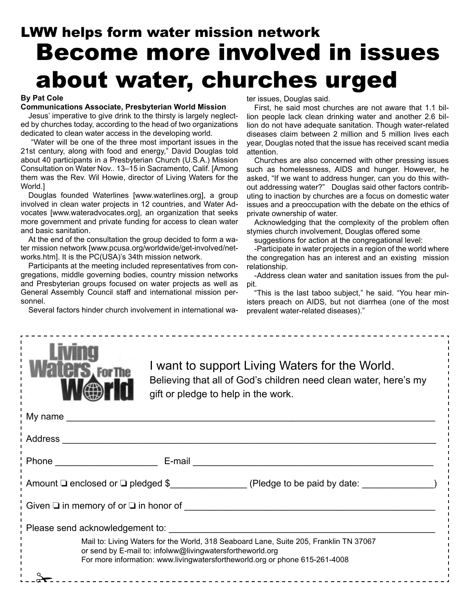# LWW helps form water mission network Become more involved in issues about water, churches urged

#### **By Pat Cole**

#### **Communications Associate, Presbyterian World Mission**

Jesus' imperative to give drink to the thirsty is largely neglected by churches today, according to the head of two organizations dedicated to clean water access in the developing world.

 "Water will be one of the three most important issues in the 21st century, along with food and energy," David Douglas told about 40 participants in a Presbyterian Church (U.S.A.) Mission Consultation on Water Nov.. 13–15 in Sacramento, Calif. [Among them was the Rev. Wil Howie, director of Living Waters for the World.]

Douglas founded Waterlines [www.waterlines.org], a group involved in clean water projects in 12 countries, and Water Advocates [www.wateradvocates.org], an organization that seeks more government and private funding for access to clean water and basic sanitation.

At the end of the consultation the group decided to form a water mission network [www.pcusa.org/worldwide/get-involved/networks.htm]. It is the PC(USA)'s 34th mission network.

Participants at the meeting included representatives from congregations, middle governing bodies, country mission networks and Presbyterian groups focused on water projects as well as General Assembly Council staff and international mission personnel.

Several factors hinder church involvement in international wa-

ter issues, Douglas said.

First, he said most churches are not aware that 1.1 billion people lack clean drinking water and another 2.6 billion do not have adequate sanitation. Though water-related diseases claim between 2 million and 5 million lives each year, Douglas noted that the issue has received scant media attention.

Churches are also concerned with other pressing issues such as homelessness, AIDS and hunger. However, he asked, "If we want to address hunger, can you do this without addressing water?" Douglas said other factors contributing to inaction by churches are a focus on domestic water issues and a preoccupation with the debate on the ethics of private ownership of water.

Acknowledging that the complexity of the problem often stymies church involvement, Douglas offered some

suggestions for action at the congregational level:

-Participate in water projects in a region of the world where the congregation has an interest and an existing mission relationship.

-Address clean water and sanitation issues from the pulpit.

"This is the last taboo subject," he said. "You hear ministers preach on AIDS, but not diarrhea (one of the most prevalent water-related diseases)."

\_\_\_\_\_\_\_\_\_\_\_\_\_\_\_\_\_\_\_\_\_\_\_\_\_\_\_\_\_\_



### I want to support Living Waters for the World. Believing that all of God's children need clean water, here's my gift or pledge to help in the work.

| Amount □ enclosed or □ pledged \$______________(Pledge to be paid by date: _____________) |                                                                                                                                                                                                                                   |  |
|-------------------------------------------------------------------------------------------|-----------------------------------------------------------------------------------------------------------------------------------------------------------------------------------------------------------------------------------|--|
|                                                                                           | Given $\Box$ in memory of or $\Box$ in honor of                                                                                                                                                                                   |  |
|                                                                                           |                                                                                                                                                                                                                                   |  |
|                                                                                           | Mail to: Living Waters for the World, 318 Seaboard Lane, Suite 205, Franklin TN 37067<br>or send by E-mail to: infolww@livingwatersfortheworld.org<br>For more information: www.livingwatersfortheworld.org or phone 615-261-4008 |  |
|                                                                                           |                                                                                                                                                                                                                                   |  |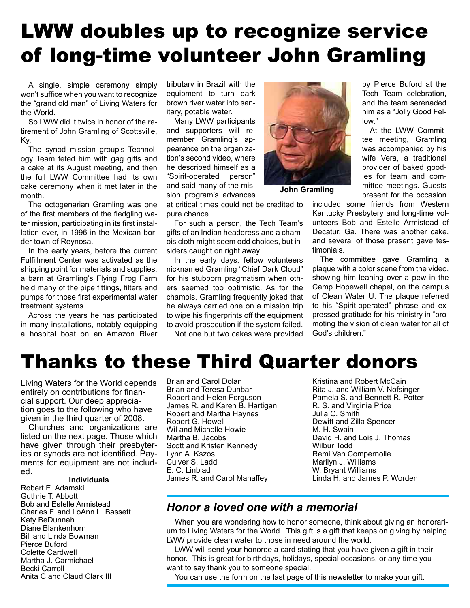# LWW doubles up to recognize service of long-time volunteer John Gramling

A single, simple ceremony simply won't suffice when you want to recognize the "grand old man" of Living Waters for the World.

So LWW did it twice in honor of the retirement of John Gramling of Scottsville, Ky.

The synod mission group's Technology Team feted him with gag gifts and a cake at its August meeting, and then the full LWW Committee had its own cake ceremony when it met later in the month.

The octogenarian Gramling was one of the first members of the fledgling water mission, participating in its first installation ever, in 1996 in the Mexican border town of Reynosa.

In the early years, before the current Fulfillment Center was activated as the shipping point for materials and supplies, a barn at Gramling's Flying Frog Farm held many of the pipe fittings, filters and pumps for those first experimental water treatment systems.

Across the years he has participated in many installations, notably equipping a hospital boat on an Amazon River tributary in Brazil with the equipment to turn dark brown river water into sanitary, potable water.

Many LWW participants and supporters will remember Gramling's appearance on the organization's second video, where he described himself as a "Spirit-operated person" and said many of the mission program's advances



at critical times could not be credited to pure chance.

For such a person, the Tech Team's gifts of an Indian headdress and a chamois cloth might seem odd choices, but insiders caught on right away.

In the early days, fellow volunteers nicknamed Gramling "Chief Dark Cloud" for his stubborn pragmatism when others seemed too optimistic. As for the chamois, Gramling frequently joked that he always carried one on a mission trip to wipe his fingerprints off the equipment to avoid prosecution if the system failed.

Not one but two cakes were provided

by Pierce Buford at the Tech Team celebration, and the team serenaded him as a "Jolly Good Fellow."

At the LWW Committee meeting, Gramling was accompanied by his wife Vera, a traditional provider of baked goodies for team and committee meetings. Guests **John Gramling Intitled the occasion**<br>present for the occasion

> included some friends from Western Kentucky Presbytery and long-time volunteers Bob and Estelle Armistead of Decatur, Ga. There was another cake, and several of those present gave testimonials.

> The committee gave Gramling a plaque with a color scene from the video, showing him leaning over a pew in the Camp Hopewell chapel, on the campus of Clean Water U. The plaque referred to his "Spirit-operated" phrase and expressed gratitude for his ministry in "promoting the vision of clean water for all of God's children."

# Thanks to these Third Quarter donors

Living Waters for the World depends entirely on contributions for financial support. Our deep appreciation goes to the following who have given in the third quarter of 2008.

Churches and organizations are listed on the next page. Those which have given through their presbyteries or synods are not identified. Payments for equipment are not included.

#### **Individuals**

Robert E. Adamski Guthrie T. Abbott Bob and Estelle Armistead Charles F. and LoAnn L. Bassett Katy BeDunnah Diane Blankenhorn Bill and Linda Bowman Pierce Buford Colette Cardwell Martha J. Carmichael Becki Carroll Anita C and Claud Clark III

Brian and Carol Dolan Brian and Teresa Dunbar Robert and Helen Ferguson James R. and Karen B. Hartigan Robert and Martha Haynes Robert G. Howell Wil and Michelle Howie Martha B. Jacobs Scott and Kristen Kennedy Lynn A. Kszos Culver S. Ladd E. C. Linblad James R. and Carol Mahaffey

Kristina and Robert McCain Rita J. and William V. Nofsinger Pamela S. and Bennett R. Potter R. S. and Virginia Price Julia C. Smith Dewitt and Zilla Spencer M. H. Swain David H. and Lois J. Thomas Wilbur Todd Remi Van Compernolle Marilyn J. Williams W. Bryant Williams Linda H. and James P. Worden

#### *Honor a loved one with a memorial*

When you are wondering how to honor someone, think about giving an honorarium to Living Waters for the World. This gift is a gift that keeps on giving by helping LWW provide clean water to those in need around the world.

LWW will send your honoree a card stating that you have given a gift in their honor. This is great for birthdays, holidays, special occasions, or any time you want to say thank you to someone special.

You can use the form on the last page of this newsletter to make your gift.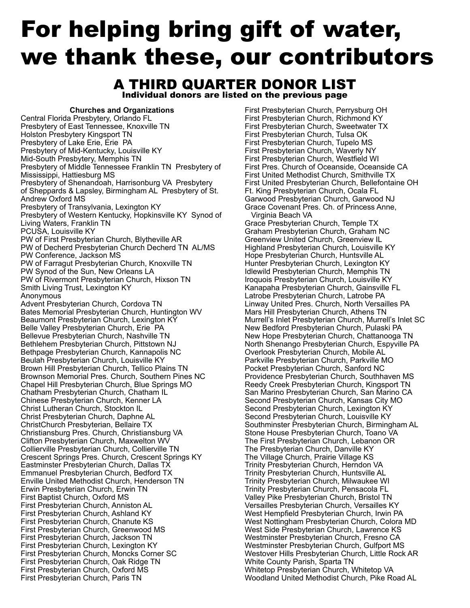# For helping bring gift of water, we thank these, our contributors

## A THIRD QUARTER DONOR LIST

Individual donors are listed on the previous page

**Churches and Organizations** Central Florida Presbytery, Orlando FL Presbytery of East Tennessee, Knoxville TN Holston Presbytery Kingsport TN Presbytery of Lake Erie, Erie PA Presbytery of Mid-Kentucky, Louisville KY Mid-South Presbytery, Memphis TN Presbytery of Middle Tennessee Franklin TN Presbytery of Mississippi, Hattiesburg MS Presbytery of Shenandoah, Harrisonburg VA Presbytery of Sheppards & Lapsley, Birmingham AL Presbytery of St. Andrew Oxford MS Presbytery of Transylvania, Lexington KY Presbytery of Western Kentucky, Hopkinsville KY Synod of Living Waters, Franklin TN PCUSA, Louisville KY PW of First Presbyterian Church, Blytheville AR PW of Decherd Presbyterian Church Decherd TN AL/MS PW Conference, Jackson MS PW of Farragut Presbyterian Church, Knoxville TN PW Synod of the Sun, New Orleans LA PW of Rivermont Presbyterian Church, Hixson TN Smith Living Trust, Lexington KY Anonymous Advent Presbyterian Church, Cordova TN Bates Memorial Presbyterian Church, Huntington WV Beaumont Presbyterian Church, Lexington KY Belle Valley Presbyterian Church, Erie PA Bellevue Presbyterian Church, Nashville TN Bethlehem Presbyterian Church, Pittstown NJ Bethpage Presbyterian Church, Kannapolis NC Beulah Presbyterian Church, Louisville KY Brown Hill Presbyterian Church, Tellico Plains TN Brownson Memorial Pres. Church, Southern Pines NC Chapel Hill Presbyterian Church, Blue Springs MO Chatham Presbyterian Church, Chatham IL Chinese Presbyterian Church, Kenner LA Christ Lutheran Church, Stockton IL Christ Presbyterian Church, Daphne AL ChristChurch Presbyterian, Bellaire TX Christiansburg Pres. Church, Christiansburg VA Clifton Presbyterian Church, Maxwelton WV Collierville Presbyterian Church, Collierville TN Crescent Springs Pres. Church, Crescent Springs KY Eastminster Presbyterian Church, Dallas TX Emmanuel Presbyterian Church, Bedford TX Enville United Methodist Church, Henderson TN Erwin Presbyterian Church, Erwin TN First Baptist Church, Oxford MS First Presbyterian Church, Anniston AL First Presbyterian Church, Ashland KY First Presbyterian Church, Chanute KS First Presbyterian Church, Greenwood MS First Presbyterian Church, Jackson TN First Presbyterian Church, Lexington KY First Presbyterian Church, Moncks Corner SC First Presbyterian Church, Oak Ridge TN First Presbyterian Church, Oxford MS First Presbyterian Church, Paris TN

First Presbyterian Church, Perrysburg OH First Presbyterian Church, Richmond KY First Presbyterian Church, Sweetwater TX First Presbyterian Church, Tulsa OK First Presbyterian Church, Tupelo MS First Presbyterian Church, Waverly NY First Presbyterian Church, Westfield WI First Pres. Church of Oceanside, Oceanside CA First United Methodist Church, Smithville TX First United Presbyterian Church, Bellefontaine OH Ft. King Presbyterian Church, Ocala FL Garwood Presbyterian Church, Garwood NJ Grace Covenant Pres. Ch. of Princess Anne, Virginia Beach VA Grace Presbyterian Church, Temple TX Graham Presbyterian Church, Graham NC Greenview United Church, Greenview IL Highland Presbyterian Church, Louisville KY Hope Presbyterian Church, Huntsville AL Hunter Presbyterian Church, Lexington KY Idlewild Presbyterian Church, Memphis TN Iroquois Presbyterian Church, Louisville KY Kanapaha Presbyterian Church, Gainsville FL Latrobe Presbyterian Church, Latrobe PA Linway United Pres. Church, North Versailles PA Mars Hill Presbyterian Church, Athens TN Murrell's Inlet Presbyterian Church, Murrell's Inlet SC New Bedford Presbyterian Church, Pulaski PA New Hope Presbyterian Church, Chattanooga TN North Shenango Presbyterian Church, Espyville PA Overlook Presbyterian Church, Mobile AL Parkville Presbyterian Church, Parkville MO Pocket Presbyterian Church, Sanford NC Providence Presbyterian Church, Southhaven MS Reedy Creek Presbyterian Church, Kingsport TN San Marino Presbyterian Church, San Marino CA Second Presbyterian Church, Kansas City MO Second Presbyterian Church, Lexington KY Second Presbyterian Church, Louisville KY Southminster Presbyterian Church, Birmingham AL Stone House Presbyterian Church, Toano VA The First Presbyterian Church, Lebanon OR The Presbyterian Church, Danville KY The Village Church, Prairie Village KS Trinity Presbyterian Church, Herndon VA Trinity Presbyterian Church, Huntsville AL Trinity Presbyterian Church, Milwaukee WI Trinity Presbyterian Church, Pensacola FL Valley Pike Presbyterian Church, Bristol TN Versailles Presbyterian Church, Versailles KY West Hempfield Presbyterian Church, Irwin PA West Nottingham Presbyterian Church, Colora MD West Side Presbyterian Church, Lawrence KS Westminster Presbyterian Church, Fresno CA Westminster Presbyterian Church, Gulfport MS Westover Hills Presbyterian Church, Little Rock AR White County Parish, Sparta TN Whitetop Presbyterian Church, Whitetop VA Woodland United Methodist Church, Pike Road AL